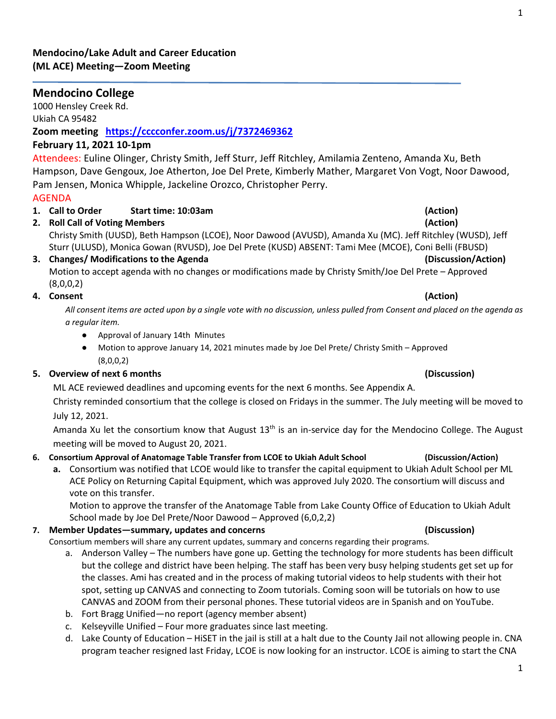### **Mendocino/Lake Adult and Career Education (ML ACE) Meeting—Zoom Meeting**

# **Mendocino College**

1000 Hensley Creek Rd. Ukiah CA 95482

**Zoom meeting <https://cccconfer.zoom.us/j/7372469362>**

## **February 11, 2021 10-1pm**

Attendees: Euline Olinger, Christy Smith, Jeff Sturr, Jeff Ritchley, Amilamia Zenteno, Amanda Xu, Beth Hampson, Dave Gengoux, Joe Atherton, Joe Del Prete, Kimberly Mather, Margaret Von Vogt, Noor Dawood, Pam Jensen, Monica Whipple, Jackeline Orozco, Christopher Perry.

## AGENDA

- **1. Call to Order Start time: 10:03am (Action)**
- **2. Roll Call of Voting Members (Action)** Christy Smith (UUSD), Beth Hampson (LCOE), Noor Dawood (AVUSD), Amanda Xu (MC). Jeff Ritchley (WUSD), Jeff Sturr (ULUSD), Monica Gowan (RVUSD), Joe Del Prete (KUSD) ABSENT: Tami Mee (MCOE), Coni Belli (FBUSD)
- **3. Changes/ Modifications to the Agenda (Discussion/Action)** Motion to accept agenda with no changes or modifications made by Christy Smith/Joe Del Prete – Approved  $(8,0,0,2)$

## **4. Consent (Action)**

*All consent items are acted upon by a single vote with no discussion, unless pulled from Consent and placed on the agenda as a regular item.* 

- Approval of January 14th Minutes
- Motion to approve January 14, 2021 minutes made by Joe Del Prete/ Christy Smith Approved (8,0,0,2)

## **5. Overview of next 6 months (Discussion)**

ML ACE reviewed deadlines and upcoming events for the next 6 months. See Appendix A.

Christy reminded consortium that the college is closed on Fridays in the summer. The July meeting will be moved to July 12, 2021.

Amanda Xu let the consortium know that August  $13<sup>th</sup>$  is an in-service day for the Mendocino College. The August meeting will be moved to August 20, 2021.

## **6. Consortium Approval of Anatomage Table Transfer from LCOE to Ukiah Adult School (Discussion/Action)**

**a.** Consortium was notified that LCOE would like to transfer the capital equipment to Ukiah Adult School per ML ACE Policy on Returning Capital Equipment, which was approved July 2020. The consortium will discuss and vote on this transfer.

Motion to approve the transfer of the Anatomage Table from Lake County Office of Education to Ukiah Adult School made by Joe Del Prete/Noor Dawood – Approved (6,0,2,2)

## **7. Member Updates—summary, updates and concerns (Discussion)**

Consortium members will share any current updates, summary and concerns regarding their programs.

- a. Anderson Valley The numbers have gone up. Getting the technology for more students has been difficult but the college and district have been helping. The staff has been very busy helping students get set up for the classes. Ami has created and in the process of making tutorial videos to help students with their hot spot, setting up CANVAS and connecting to Zoom tutorials. Coming soon will be tutorials on how to use CANVAS and ZOOM from their personal phones. These tutorial videos are in Spanish and on YouTube.
- b. Fort Bragg Unified—no report (agency member absent)
- c. Kelseyville Unified Four more graduates since last meeting.
- d. Lake County of Education HiSET in the jail is still at a halt due to the County Jail not allowing people in. CNA program teacher resigned last Friday, LCOE is now looking for an instructor. LCOE is aiming to start the CNA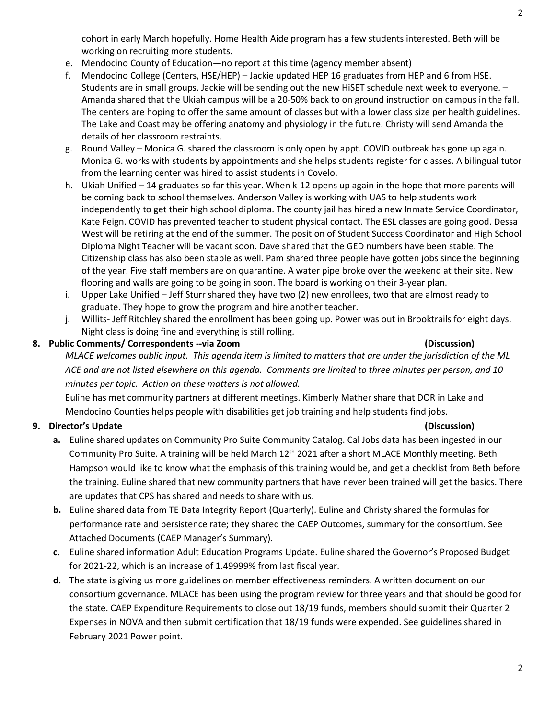cohort in early March hopefully. Home Health Aide program has a few students interested. Beth will be working on recruiting more students.

- e. Mendocino County of Education—no report at this time (agency member absent)
- f. Mendocino College (Centers, HSE/HEP) Jackie updated HEP 16 graduates from HEP and 6 from HSE. Students are in small groups. Jackie will be sending out the new HiSET schedule next week to everyone. – Amanda shared that the Ukiah campus will be a 20-50% back to on ground instruction on campus in the fall. The centers are hoping to offer the same amount of classes but with a lower class size per health guidelines. The Lake and Coast may be offering anatomy and physiology in the future. Christy will send Amanda the details of her classroom restraints.
- g. Round Valley Monica G. shared the classroom is only open by appt. COVID outbreak has gone up again. Monica G. works with students by appointments and she helps students register for classes. A bilingual tutor from the learning center was hired to assist students in Covelo.
- h. Ukiah Unified 14 graduates so far this year. When k-12 opens up again in the hope that more parents will be coming back to school themselves. Anderson Valley is working with UAS to help students work independently to get their high school diploma. The county jail has hired a new Inmate Service Coordinator, Kate Feign. COVID has prevented teacher to student physical contact. The ESL classes are going good. Dessa West will be retiring at the end of the summer. The position of Student Success Coordinator and High School Diploma Night Teacher will be vacant soon. Dave shared that the GED numbers have been stable. The Citizenship class has also been stable as well. Pam shared three people have gotten jobs since the beginning of the year. Five staff members are on quarantine. A water pipe broke over the weekend at their site. New flooring and walls are going to be going in soon. The board is working on their 3-year plan.
- i. Upper Lake Unified Jeff Sturr shared they have two (2) new enrollees, two that are almost ready to graduate. They hope to grow the program and hire another teacher.
- j. Willits- Jeff Ritchley shared the enrollment has been going up. Power was out in Brooktrails for eight days. Night class is doing fine and everything is still rolling.

### **8. Public Comments/ Correspondents --via Zoom (Discussion)**

*MLACE welcomes public input. This agenda item is limited to matters that are under the jurisdiction of the ML ACE and are not listed elsewhere on this agenda. Comments are limited to three minutes per person, and 10 minutes per topic. Action on these matters is not allowed.*

Euline has met community partners at different meetings. Kimberly Mather share that DOR in Lake and Mendocino Counties helps people with disabilities get job training and help students find jobs.

## **9. Director's Update (Discussion)**

- **a.** Euline shared updates on Community Pro Suite Community Catalog. Cal Jobs data has been ingested in our Community Pro Suite. A training will be held March 12<sup>th</sup> 2021 after a short MLACE Monthly meeting. Beth Hampson would like to know what the emphasis of this training would be, and get a checklist from Beth before the training. Euline shared that new community partners that have never been trained will get the basics. There are updates that CPS has shared and needs to share with us.
- **b.** Euline shared data from TE Data Integrity Report (Quarterly). Euline and Christy shared the formulas for performance rate and persistence rate; they shared the CAEP Outcomes, summary for the consortium. See Attached Documents (CAEP Manager's Summary).
- **c.** Euline shared information Adult Education Programs Update. Euline shared the Governor's Proposed Budget for 2021-22, which is an increase of 1.49999% from last fiscal year.
- **d.** The state is giving us more guidelines on member effectiveness reminders. A written document on our consortium governance. MLACE has been using the program review for three years and that should be good for the state. CAEP Expenditure Requirements to close out 18/19 funds, members should submit their Quarter 2 Expenses in NOVA and then submit certification that 18/19 funds were expended. See guidelines shared in February 2021 Power point.